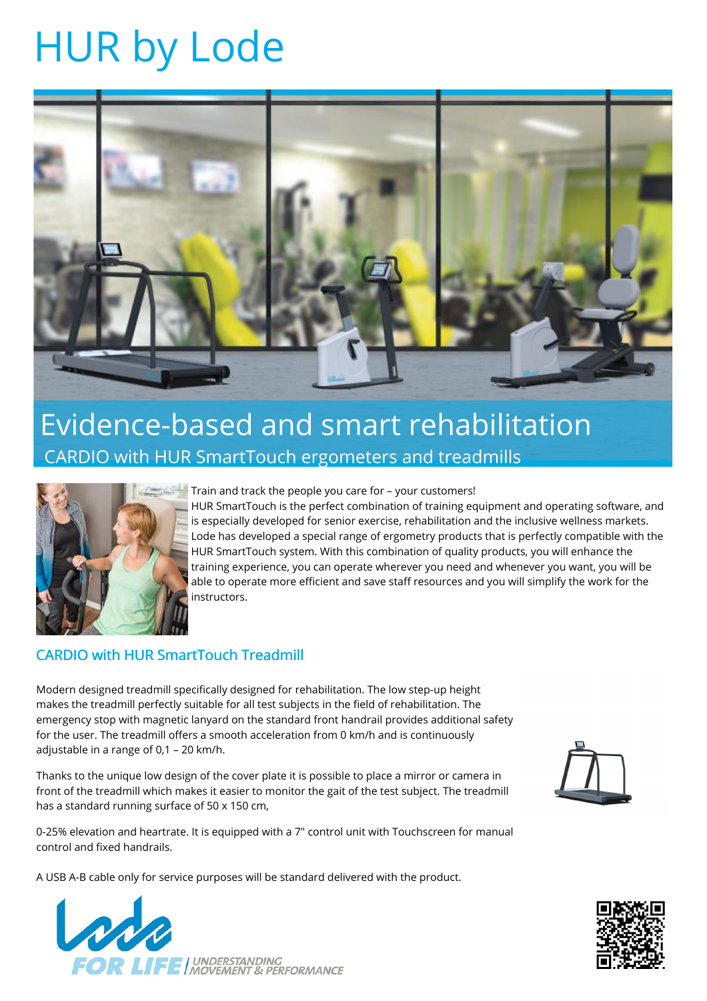# HUR by Lode



# Evidence-based and smart rehabilitation CARDIO with HUR SmartTouch ergometers and treadmills



## Train and track the people you care for – your customers!

HUR SmartTouch is the perfect combination of training equipment and operating software, and is especially developed for senior exercise, rehabilitation and the inclusive wellness markets. Lode has developed a special range of ergometry products that is perfectly compatible with the HUR SmartTouch system. With this combination of quality products, you will enhance the training experience, you can operate wherever you need and whenever you want, you will be able to operate more efficient and save staff resources and you will simplify the work for the instructors.

## CARDIO with HUR SmartTouch Treadmill

Modern designed treadmill specifically designed for rehabilitation. The low step-up height makes the treadmill perfectly suitable for all test subjects in the field of rehabilitation. The emergency stop with magnetic lanyard on the standard front handrail provides additional safety for the user. The treadmill offers a smooth acceleration from 0 km/h and is continuously adjustable in a range of 0,1 – 20 km/h.

Thanks to the unique low design of the cover plate it is possible to place a mirror or camera in front of the treadmill which makes it easier to monitor the gait of the test subject. The treadmill has a standard running surface of 50 x 150 cm,

0-25% elevation and heartrate. It is equipped with a 7" control unit with Touchscreen for manual control and fixed handrails.

A USB A-B cable only for service purposes will be standard delivered with the product.